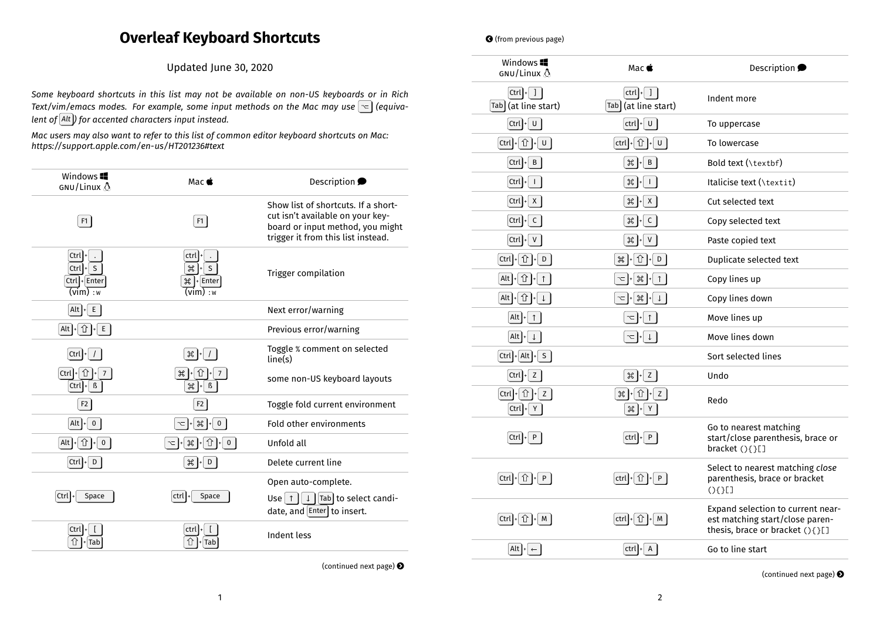## **Overleaf Keyboard Shortcuts**

Updated June 30, 2020

*Some keyboard shortcuts in this list may not be available on non-US keyboards or in Rich Text/vim/emacs modes. For example, some input methods on the Mac may use (equivalent of Alt ) for accented characters input instead.*

*Mac users may also want to refer to this list of common editor keyboard shortcuts on Mac: https://support.apple.com/en-us/HT201236#text*

| Windows <b>II</b><br>GNU/Linux A                 | Mac $\bullet$                                                                          | Description •                                                                                                                                     |
|--------------------------------------------------|----------------------------------------------------------------------------------------|---------------------------------------------------------------------------------------------------------------------------------------------------|
| F <sub>1</sub>                                   | F1                                                                                     | Show list of shortcuts. If a short-<br>cut isn't available on your key-<br>board or input method, you might<br>trigger it from this list instead. |
| Ctrl<br>S<br>$Ctrl$ +<br>Ctrl + Enter<br>(vim):w | ctrl<br>$\mathfrak{B}$<br>S<br>$\mathcal{H}$ + Enter<br>$\overline{\mathsf{(vim)}}:$ w | Trigger compilation                                                                                                                               |
| Alt $\left  \cdot \right $<br>E                  |                                                                                        | Next error/warning                                                                                                                                |
| $[Alt] + [T] + [E]$                              |                                                                                        | Previous error/warning                                                                                                                            |
| Ctrl                                             | $\mathscr{H}$                                                                          | Toggle % comment on selected<br>line(s)                                                                                                           |
| $Ctrl$  +<br>$\overline{7}$<br>$Ctrl \cdot B$    | $\frac{1}{2}$<br>$\beta$<br>$\mathfrak{B}$                                             | some non-US keyboard layouts                                                                                                                      |
| F <sub>2</sub>                                   | F2                                                                                     | Toggle fold current environment                                                                                                                   |
| $\mathbf{0}$<br>Alt $\vert$ +                    | $\frac{1}{2}$<br>$\pmb{0}$                                                             | Fold other environments                                                                                                                           |
| Alt $\cdot$ $\hat{u}$ $\cdot$<br>$\mathbf{0}$    | ⇧<br>$\mathcal{H}$<br>$\mathbf{0}$                                                     | Unfold all                                                                                                                                        |
| $Ctrl \mid D$                                    | $\frac{1}{2}$ + D                                                                      | Delete current line                                                                                                                               |
| $Ctrl \,   \cdot$<br>Space                       | ctrl<br>Space                                                                          | Open auto-complete.<br>Tab to select candi-<br>$\sqrt{2}$<br>Use $\uparrow$<br>date, and $[Enter]$ to insert.                                     |
| $Ctrl \,   \cdot$<br>Tab                         | ctrl<br>⇧<br>+ Tab                                                                     | Indent less                                                                                                                                       |

(continued next page)  $\bigodot$ 

**•** (from previous page)

| Windows <sup>1</sup><br>GNU/Linux A                                                                    | Mac <b>é</b>                                                                                                                                                                                                                                                                                                        | Description •                                                                                           |
|--------------------------------------------------------------------------------------------------------|---------------------------------------------------------------------------------------------------------------------------------------------------------------------------------------------------------------------------------------------------------------------------------------------------------------------|---------------------------------------------------------------------------------------------------------|
| $ $ Ctrl $  \cdot  $ $ $<br>Tab (at line start)                                                        | ctrl<br>$\mathbf{I}$<br>Tab (at line start)                                                                                                                                                                                                                                                                         | Indent more                                                                                             |
| $[$ Ctrl $]_+$<br>$\cup$                                                                               | $ $ ctrl $ $ + $ $<br>$\cup$                                                                                                                                                                                                                                                                                        | To uppercase                                                                                            |
| $[\operatorname{\mathsf{Ctrl}}]$ + $\hat{\text{I}}$ $\hat{\text{I}}$ $\text{I}}$ $\text{U}$ $\text{I}$ | $[\operatorname{\mathsf{ctrl}}] \text{+} [\:\hat{\mathrm{T}}\:] \text{+} [\:\texttt{U}\:]$                                                                                                                                                                                                                          | To lowercase                                                                                            |
| $[$ Ctrl $]_+$<br>B                                                                                    | $\frac{1}{2}$ $\frac{1}{2}$ $\frac{1}{2}$ $\frac{1}{2}$ $\frac{1}{2}$ $\frac{1}{2}$ $\frac{1}{2}$ $\frac{1}{2}$ $\frac{1}{2}$ $\frac{1}{2}$ $\frac{1}{2}$ $\frac{1}{2}$ $\frac{1}{2}$ $\frac{1}{2}$ $\frac{1}{2}$ $\frac{1}{2}$ $\frac{1}{2}$ $\frac{1}{2}$ $\frac{1}{2}$ $\frac{1}{2}$ $\frac{1}{2}$ $\frac{1}{2}$ | Bold text (\textbf)                                                                                     |
| Ctrl<br>$\mathsf{L}$                                                                                   | $\frac{1}{2}$<br>$\mathbf{I}$                                                                                                                                                                                                                                                                                       | Italicise text (\textit)                                                                                |
| $[\text{Ctrl}]$<br>X                                                                                   | $\frac{1}{2}$<br>$\mathsf{X}$                                                                                                                                                                                                                                                                                       | Cut selected text                                                                                       |
| Ctrl<br>$\mathsf{C}$                                                                                   | $\frac{1}{2}$<br>$\mathsf{C}$                                                                                                                                                                                                                                                                                       | Copy selected text                                                                                      |
| $[$ Ctrl<br>${\sf V}$                                                                                  | $\frac{1}{2}$<br>$\mathsf{V}$                                                                                                                                                                                                                                                                                       | Paste copied text                                                                                       |
| $[Ctrl] \cdot [ \hat{1}] \cdot [ D ]$                                                                  | ←<br>D<br>$\frac{1}{2}$                                                                                                                                                                                                                                                                                             | Duplicate selected text                                                                                 |
| $\hat{u}$<br>Alt<br>$\uparrow$                                                                         | $\frac{1}{2}$<br>$\uparrow$<br>$\leq$                                                                                                                                                                                                                                                                               | Copy lines up                                                                                           |
| ← 1+<br>Alt                                                                                            | $\frac{1}{2}$ + $\frac{1}{2}$<br>~  +                                                                                                                                                                                                                                                                               | Copy lines down                                                                                         |
| $Alt \cdot$<br>$\uparrow$                                                                              | $\uparrow$<br>~  +                                                                                                                                                                                                                                                                                                  | Move lines up                                                                                           |
| Alt<br>$\downarrow$                                                                                    | $\downarrow$ $\vert \downarrow$                                                                                                                                                                                                                                                                                     | Move lines down                                                                                         |
| $[Ctrl]$ + $[ Alt]$ + $[ S ]$                                                                          |                                                                                                                                                                                                                                                                                                                     | Sort selected lines                                                                                     |
| Ctrl<br>Z                                                                                              | $\mathcal{L}$ $\mathcal{L}$ $\mathcal{L}$                                                                                                                                                                                                                                                                           | Undo                                                                                                    |
| <b>û  -</b>   z  <br> Ctrl <br>$Ctrl \mid Y$                                                           | <b>î  ⊦</b> z<br>$\frac{1}{2}$<br>$\frac{1}{2}$<br>Y                                                                                                                                                                                                                                                                | Redo                                                                                                    |
| $Ctrl +$<br>P                                                                                          | P<br>ctrl                                                                                                                                                                                                                                                                                                           | Go to nearest matching<br>start/close parenthesis, brace or<br>bracket (){}[]                           |
| $[Ctrl] + [ \hat{1}] + [ P ]$                                                                          | $[\operatorname{\mathsf{ctrl}}] + [\Upsilon] + [\ {\mathsf P} \ ]$                                                                                                                                                                                                                                                  | Select to nearest matching close<br>parenthesis, brace or bracket<br>(3(3))                             |
| Ctrl $\left  \cdot \right $ $\left  \cdot \right $<br>M                                                | ⇧┃<br>M<br>ctrl                                                                                                                                                                                                                                                                                                     | Expand selection to current near-<br>est matching start/close paren-<br>thesis, brace or bracket (){}[] |
| Alt $\left  \cdot \right $<br>$\leftarrow$                                                             | ctrl  +<br>A                                                                                                                                                                                                                                                                                                        | Go to line start                                                                                        |

(continued next page)  $\bigcirc$